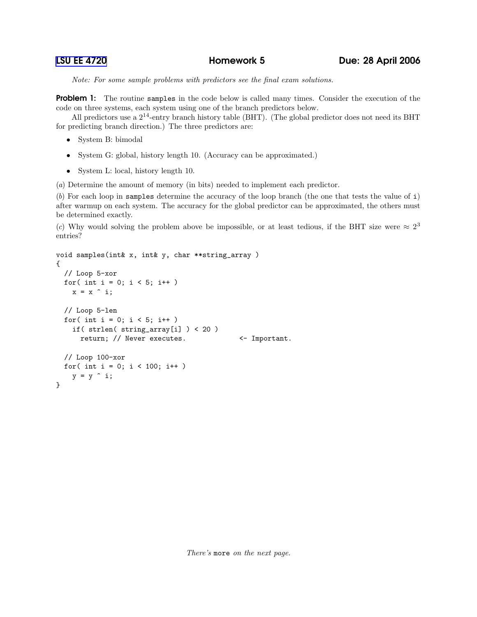Note: For some sample problems with predictors see the final exam solutions.

**Problem 1:** The routine samples in the code below is called many times. Consider the execution of the code on three systems, each system using one of the branch predictors below.

All predictors use a  $2^{14}$ -entry branch history table (BHT). (The global predictor does not need its BHT for predicting branch direction.) The three predictors are:

- System B: bimodal
- System G: global, history length 10. (Accuracy can be approximated.)
- System L: local, history length 10.

(a) Determine the amount of memory (in bits) needed to implement each predictor.

(b) For each loop in samples determine the accuracy of the loop branch (the one that tests the value of i) after warmup on each system. The accuracy for the global predictor can be approximated, the others must be determined exactly.

(c) Why would solving the problem above be impossible, or at least tedious, if the BHT size were  $\approx 2^3$ entries?

```
void samples(int& x, int& y, char **string_array )
{
  // Loop 5-xor
  for( int i = 0; i < 5; i++)x = x \hat{i};
  // Loop 5-len
  for( int i = 0; i < 5; i++ )
   if( strlen( string_array[i] ) < 20 )
     return; // Never executes. <- Important.
  // Loop 100-xor
 for( int i = 0; i < 100; i++)y = y \hat{i};
}
```